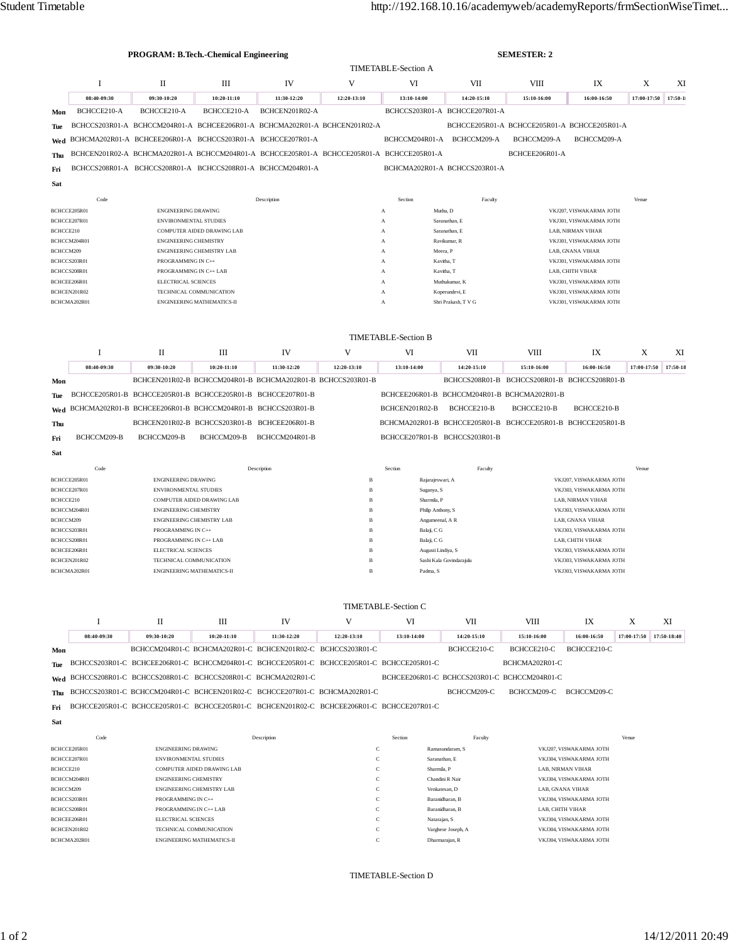|                              | <b>PROGRAM: B.Tech.-Chemical Engineering</b>       |                                                     |                                                              |                                                                                           |                   |                                                                               | <b>SEMESTER: 2</b>                           |                                                             |                         |             |             |  |
|------------------------------|----------------------------------------------------|-----------------------------------------------------|--------------------------------------------------------------|-------------------------------------------------------------------------------------------|-------------------|-------------------------------------------------------------------------------|----------------------------------------------|-------------------------------------------------------------|-------------------------|-------------|-------------|--|
|                              |                                                    |                                                     |                                                              |                                                                                           |                   |                                                                               | <b>TIMETABLE-Section A</b>                   |                                                             |                         |             |             |  |
|                              | 1                                                  | П                                                   | Ш                                                            | IV                                                                                        | V                 | VI                                                                            | VII                                          | VIII                                                        | IX                      | X           | XI          |  |
|                              | 08:40-09:30                                        | 09:30-10:20                                         | 10:20-11:10                                                  | 11:30-12:20                                                                               | 12:20-13:10       | 13:10-14:00                                                                   | 14:20-15:10                                  | 15:10-16:00                                                 | 16:00-16:50             | 17:00-17:50 | $17:50-1$   |  |
| Mon                          | BCHCCE210-A                                        | BCHCCE210-A                                         | BCHCCE210-A                                                  | BCHCEN201R02-A                                                                            |                   |                                                                               | BCHCCS203R01-A BCHCCE207R01-A                |                                                             |                         |             |             |  |
| Tue                          |                                                    |                                                     |                                                              | BCHCCS203R01-A BCHCCM204R01-A BCHCEE206R01-A BCHCMA202R01-A BCHCEN201R02-A                |                   |                                                                               |                                              | BCHCCE205R01-A BCHCCE205R01-A BCHCCE205R01-A                |                         |             |             |  |
| Wed                          |                                                    |                                                     |                                                              | BCHCMA202R01-A BCHCEE206R01-A BCHCCS203R01-A BCHCCE207R01-A                               |                   | BCHCCM204R01-A                                                                | BCHCCM209-A                                  | BCHCCM209-A                                                 | BCHCCM209-A             |             |             |  |
| Thu                          |                                                    |                                                     |                                                              | BCHCEN201R02-A BCHCMA202R01-A BCHCCM204R01-A BCHCCE205R01-A BCHCCE205R01-A BCHCCE205R01-A |                   |                                                                               |                                              | BCHCEE206R01-A                                              |                         |             |             |  |
| Fri                          |                                                    |                                                     |                                                              | BCHCCS208R01-A BCHCCS208R01-A BCHCCS208R01-A BCHCCM204R01-A                               |                   |                                                                               | BCHCMA202R01-A BCHCCS203R01-A                |                                                             |                         |             |             |  |
| Sat                          |                                                    |                                                     |                                                              |                                                                                           |                   |                                                                               |                                              |                                                             |                         |             |             |  |
|                              | Code<br>Section<br>Venue<br>Description<br>Faculty |                                                     |                                                              |                                                                                           |                   |                                                                               |                                              |                                                             |                         |             |             |  |
|                              | BCHCCE205R01                                       | ENGINEERING DRAWING                                 |                                                              |                                                                                           |                   | A                                                                             | Muthu, D                                     |                                                             | VKJ207, VISWAKARMA JOTH |             |             |  |
|                              | BCHCCE207R01                                       | ENVIRONMENTAL STUDIES                               |                                                              | Saranathan, E<br>A<br>Saranathan, E                                                       |                   | VKJ301, VISWAKARMA JOTH                                                       |                                              |                                                             |                         |             |             |  |
| BCHCCE210                    | BCHCCM204R01                                       | <b>ENGINEERING CHEMISTRY</b>                        | COMPUTER AIDED DRAWING LAB                                   |                                                                                           |                   | A<br>A                                                                        | Ravikumar, R                                 | LAB, NIRMAN VIHAR<br>VKJ301, VISWAKARMA JOTH                |                         |             |             |  |
| BCHCCM209                    |                                                    |                                                     | ENGINEERING CHEMISTRY LAB                                    |                                                                                           |                   | A                                                                             | Meera, P                                     |                                                             | LAB, GNANA VIHAR        |             |             |  |
|                              | BCHCCS203R01<br>BCHCCS208R01                       | PROGRAMMING IN C++<br>PROGRAMMING IN C++ LAB        |                                                              |                                                                                           |                   | A<br>Kavitha, T<br>Kavitha, T<br>$\mathbf{A}$                                 |                                              | VKJ301, VISWAKARMA JOTH<br>LAB, CHITH VIHAR                 |                         |             |             |  |
|                              | BCHCEE206R01                                       | ELECTRICAL SCIENCES                                 |                                                              |                                                                                           |                   | Muthukumar, K<br>A                                                            |                                              | VKJ301, VISWAKARMA JOTH                                     |                         |             |             |  |
|                              | BCHCEN201R02                                       |                                                     | TECHNICAL COMMUNICATION<br><b>ENGINEERING MATHEMATICS-II</b> |                                                                                           |                   | Koperundevi, E<br>A                                                           |                                              | VKJ301, VISWAKARMA JOTH                                     |                         |             |             |  |
|                              | BCHCMA202R01                                       |                                                     |                                                              |                                                                                           |                   | Shri Prakash, T V G<br>$\overline{A}$                                         |                                              |                                                             | VKJ301, VISWAKARMA JOTH |             |             |  |
|                              |                                                    |                                                     |                                                              |                                                                                           |                   |                                                                               |                                              |                                                             |                         |             |             |  |
|                              |                                                    |                                                     |                                                              |                                                                                           |                   | <b>TIMETABLE-Section B</b>                                                    |                                              |                                                             |                         |             |             |  |
|                              | 1                                                  | П                                                   | Ш                                                            | IV                                                                                        | V                 | VI                                                                            | VII                                          | <b>VIII</b>                                                 | IX                      | X           | XI          |  |
|                              | 08:40-09:30                                        | 09:30-10:20                                         | 10:20-11:10                                                  | 11:30-12:20                                                                               | 12:20-13:10       | 13:10-14:00                                                                   | 14:20-15:10                                  | 15:10-16:00                                                 | 16:00-16:50             | 17:00-17:50 | 17:50-18    |  |
| Mon                          |                                                    |                                                     |                                                              | BCHCEN201R02-B BCHCCM204R01-B BCHCMA202R01-B BCHCCS203R01-B                               |                   |                                                                               |                                              | BCHCCS208R01-B BCHCCS208R01-B BCHCCS208R01-B                |                         |             |             |  |
| Tue                          |                                                    |                                                     | BCHCCE205R01-B BCHCCE205R01-B BCHCCE205R01-B BCHCCE207R01-B  |                                                                                           |                   |                                                                               |                                              | BCHCEE206R01-B BCHCCM204R01-B BCHCMA202R01-B                |                         |             |             |  |
| Wed                          |                                                    |                                                     | BCHCMA202R01-B BCHCEE206R01-B BCHCCM204R01-B BCHCCS203R01-B  |                                                                                           |                   | BCHCEN201R02-B                                                                | BCHCCE210-B                                  | BCHCCE210-B                                                 | BCHCCE210-B             |             |             |  |
| Thu                          |                                                    |                                                     | BCHCEN201R02-B BCHCCS203R01-B BCHCEE206R01-B                 |                                                                                           |                   |                                                                               |                                              | BCHCMA202R01-B BCHCCE205R01-B BCHCCE205R01-B BCHCCE205R01-B |                         |             |             |  |
| Fri                          | BCHCCM209-B                                        | BCHCCM209-B                                         | BCHCCM209-B                                                  | BCHCCM204R01-B                                                                            |                   | BCHCCE207R01-B BCHCCS203R01-B                                                 |                                              |                                                             |                         |             |             |  |
| Sat                          |                                                    |                                                     |                                                              |                                                                                           |                   |                                                                               |                                              |                                                             |                         |             |             |  |
|                              | Code                                               |                                                     |                                                              | Description                                                                               |                   | Section                                                                       | Faculty                                      |                                                             |                         | Venue       |             |  |
|                              | BCHCCE205R01<br>BCHCCE207R01                       | <b>ENGINEERING DRAWING</b><br>ENVIRONMENTAL STUDIES |                                                              |                                                                                           | в<br>$\, {\bf B}$ | Rajarajeswari, A<br>Suganya, S                                                |                                              | VKJ207, VISWAKARMA JOTH                                     |                         |             |             |  |
| BCHCCE210                    |                                                    |                                                     | COMPUTER AIDED DRAWING LAB                                   |                                                                                           | в                 | VKJ303, VISWAKARMA JOTH<br>Sharmila, P<br>LAB. NIRMAN VIHAR                   |                                              |                                                             |                         |             |             |  |
|                              | BCHCCM204R01                                       | <b>ENGINEERING CHEMISTRY</b>                        |                                                              |                                                                                           | в                 | Philip Anthony, S<br>VKJ303, VISWAKARMA JOTH                                  |                                              |                                                             |                         |             |             |  |
| BCHCCM209                    | BCHCCS203R01                                       | ENGINEERING CHEMISTRY LAB<br>PROGRAMMING IN C++     |                                                              |                                                                                           | B<br>в            | Angumeenal, A R<br>LAB, GNANA VIHAR<br>Balaji, C G<br>VKJ303, VISWAKARMA JOTH |                                              |                                                             |                         |             |             |  |
| BCHCCS208R01                 |                                                    | PROGRAMMING IN C++ LAB                              |                                                              |                                                                                           | в                 | Balaji, C G<br>LAB, CHITH VIHAR                                               |                                              |                                                             |                         |             |             |  |
| BCHCEE206R01<br>BCHCEN201R02 |                                                    | ELECTRICAL SCIENCES<br>TECHNICAL COMMUNICATION      |                                                              |                                                                                           | $\, {\bf B}$<br>в | Augusti Lindiya, S<br>Sashi Kala Govindarajulu                                |                                              | VKJ303, VISWAKARMA JOTH<br>VKJ303, VISWAKARMA JOTH          |                         |             |             |  |
| BCHCMA202R01                 |                                                    |                                                     | ENGINEERING MATHEMATICS-II                                   |                                                                                           | $_{\rm B}$        | Padma, S                                                                      |                                              | VKJ303, VISWAKARMA JOTH                                     |                         |             |             |  |
|                              |                                                    |                                                     |                                                              |                                                                                           |                   |                                                                               |                                              |                                                             |                         |             |             |  |
| <b>TIMETABLE-Section C</b>   |                                                    |                                                     |                                                              |                                                                                           |                   |                                                                               |                                              |                                                             |                         |             |             |  |
|                              | 1                                                  | П                                                   | Ш                                                            | IV                                                                                        | V                 | VI                                                                            | VII                                          | VIII                                                        | IX                      | X           | XI          |  |
|                              | 08:40-09:30                                        | 09:30-10:20                                         | 10:20-11:10                                                  | 11:30-12:20                                                                               | 12:20-13:10       | 13:10-14:00                                                                   | 14:20-15:10                                  | 15:10-16:00                                                 | 16:00-16:50             | 17:00-17:50 | 17:50-18:40 |  |
| Mon                          |                                                    |                                                     |                                                              | BCHCCM204R01-C BCHCMA202R01-C BCHCEN201R02-C BCHCCS203R01-C                               |                   |                                                                               | BCHCCE210-C                                  | BCHCCE210-C                                                 | BCHCCE210-C             |             |             |  |
| Tue                          |                                                    |                                                     |                                                              | BCHCCS203R01-C BCHCEE206R01-C BCHCCM204R01-C BCHCCE205R01-C BCHCCE205R01-C BCHCCE205R01-C |                   |                                                                               |                                              | BCHCMA202R01-C                                              |                         |             |             |  |
| Wed                          |                                                    |                                                     | BCHCCS208R01-C BCHCCS208R01-C BCHCCS208R01-C BCHCMA202R01-C  |                                                                                           |                   |                                                                               | BCHCEE206R01-C BCHCCS203R01-C BCHCCM204R01-C |                                                             |                         |             |             |  |
| Thu                          |                                                    |                                                     |                                                              | BCHCCS203R01-C BCHCCM204R01-C BCHCEN201R02-C BCHCCE207R01-C BCHCMA202R01-C                |                   |                                                                               | BCHCCM209-C                                  | BCHCCM209-C BCHCCM209-C                                     |                         |             |             |  |
| Fri                          |                                                    |                                                     |                                                              | BCHCCE205R01-C BCHCCE205R01-C BCHCCE205R01-C BCHCEN201R02-C BCHCEE206R01-C BCHCCE207R01-C |                   |                                                                               |                                              |                                                             |                         |             |             |  |
| Sat                          |                                                    |                                                     |                                                              |                                                                                           |                   |                                                                               |                                              |                                                             |                         |             |             |  |
|                              | Code                                               |                                                     |                                                              | Description                                                                               |                   | Section                                                                       | Faculty                                      |                                                             |                         | Venue       |             |  |
|                              | BCHCCE205R01                                       | <b>ENGINEERING DRAWING</b>                          |                                                              |                                                                                           | C                 |                                                                               | Ramasundaram, S                              |                                                             | VKJ207, VISWAKARMA JOTH |             |             |  |
|                              | BCHCCE207R01                                       | ENVIRONMENTAL STUDIES                               |                                                              |                                                                                           | C                 |                                                                               | Saranathan, E                                |                                                             | VKJ304, VISWAKARMA JOTH |             |             |  |

| BCHCCE205R01 | <b>ENGINEERING DRAWING</b>        | ◟      | Ramasundaram, S    | VKJ207, VISWAKARMA JOTH |
|--------------|-----------------------------------|--------|--------------------|-------------------------|
| BCHCCE207R01 | <b>ENVIRONMENTAL STUDIES</b>      | -<br>J | Saranathan, E      | VKJ304, VISWAKARMA JOTH |
| BCHCCE210    | <b>COMPUTER AIDED DRAWING LAB</b> | -<br>◟ | Sharmila, P        | LAB. NIRMAN VIHAR       |
| BCHCCM204R01 | <b>ENGINEERING CHEMISTRY</b>      | -<br>v | Chandini R Nair    | VKJ304, VISWAKARMA JOTH |
| BCHCCM209    | ENGINEERING CHEMISTRY LAB         | -<br>J | Venkatesan, D      | LAB, GNANA VIHAR        |
| BCHCCS203R01 | PROGRAMMING IN C++                | J      | Baranidharan, B    | VKJ304, VISWAKARMA JOTH |
| BCHCCS208R01 | PROGRAMMING IN C++ LAB            |        | Baranidharan, B    | LAB. CHITH VIHAR        |
| BCHCEE206R01 | <b>ELECTRICAL SCIENCES</b>        | -<br>J | Natarajan, S       | VKJ304, VISWAKARMA JOTH |
| BCHCEN201R02 | TECHNICAL COMMUNICATION           | -<br>v | Varghese Joseph, A | VKJ304, VISWAKARMA JOTH |
| BCHCMA202R01 | <b>ENGINEERING MATHEMATICS-II</b> | -<br>J | Dharmarajan, R     | VKJ304, VISWAKARMA JOTH |
|              |                                   |        |                    |                         |

TIMETABLE-Section D